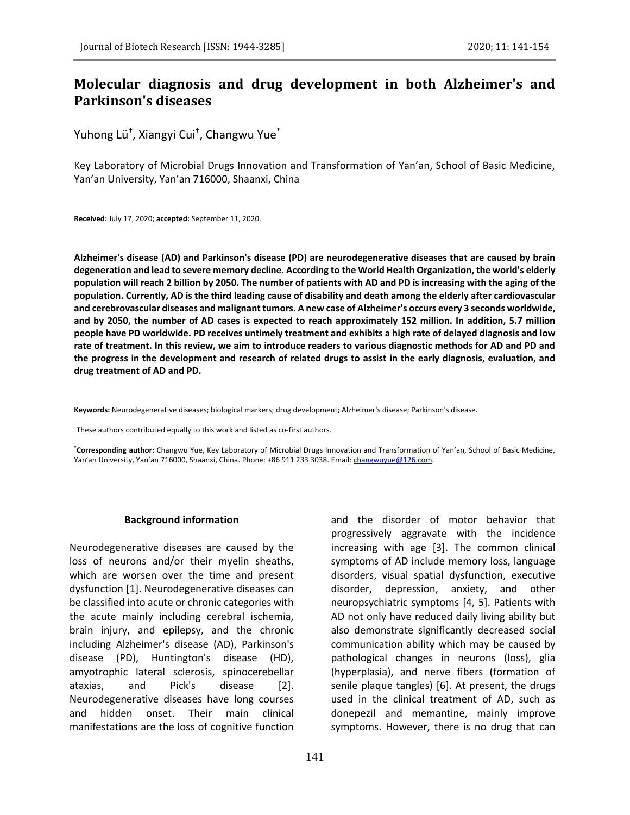# **Molecular diagnosis and drug development in both Alzheimer's and Parkinson's diseases**

Yuhong Lü† , Xiangyi Cui† , Changwu Yue\*

Key Laboratory of Microbial Drugs Innovation and Transformation of Yan'an, School of Basic Medicine, Yan'an University, Yan'an 716000, Shaanxi, China

**Received:** July 17, 2020; **accepted:** September 11, 2020.

**Alzheimer's disease (AD) and Parkinson's disease (PD) are neurodegenerative diseases that are caused by brain degeneration and lead to severe memory decline. According to the World Health Organization, the world's elderly population will reach 2 billion by 2050. The number of patients with AD and PD is increasing with the aging of the population. Currently, AD is the third leading cause of disability and death among the elderly after cardiovascular and cerebrovascular diseases and malignant tumors. A new case of Alzheimer's occurs every 3 seconds worldwide, and by 2050, the number of AD cases is expected to reach approximately 152 million. In addition, 5.7 million people have PD worldwide. PD receives untimely treatment and exhibits a high rate of delayed diagnosis and low rate of treatment. In this review, we aim to introduce readers to various diagnostic methods for AD and PD and the progress in the development and research of related drugs to assist in the early diagnosis, evaluation, and drug treatment of AD and PD.**

**Keywords:** Neurodegenerative diseases; biological markers; drug development; Alzheimer's disease; Parkinson's disease.

† These authors contributed equally to this work and listed as co-first authors.

**\*Corresponding author:** Changwu Yue, Key Laboratory of Microbial Drugs Innovation and Transformation of Yan'an, School of Basic Medicine, Yan'an University, Yan'an 716000, Shaanxi, China. Phone: +86 911 233 3038. Email[: changwuyue@126.com.](mailto:changwuyue@126.com)

### **Background information**

Neurodegenerative diseases are caused by the loss of neurons and/or their myelin sheaths, which are worsen over the time and present dysfunction [1]. Neurodegenerative diseases can be classified into acute or chronic categories with the acute mainly including cerebral ischemia, brain injury, and epilepsy, and the chronic including Alzheimer's disease (AD), Parkinson's disease (PD), Huntington's disease (HD), amyotrophic lateral sclerosis, spinocerebellar ataxias, and Pick's disease [2]. Neurodegenerative diseases have long courses and hidden onset. Their main clinical manifestations are the loss of cognitive function

and the disorder of motor behavior that progressively aggravate with the incidence increasing with age [3]. The common clinical symptoms of AD include memory loss, language disorders, visual spatial dysfunction, executive disorder, depression, anxiety, and other neuropsychiatric symptoms [4, 5]. Patients with AD not only have reduced daily living ability but also demonstrate significantly decreased social communication ability which may be caused by pathological changes in neurons (loss), glia (hyperplasia), and nerve fibers (formation of senile plaque tangles) [6]. At present, the drugs used in the clinical treatment of AD, such as donepezil and memantine, mainly improve symptoms. However, there is no drug that can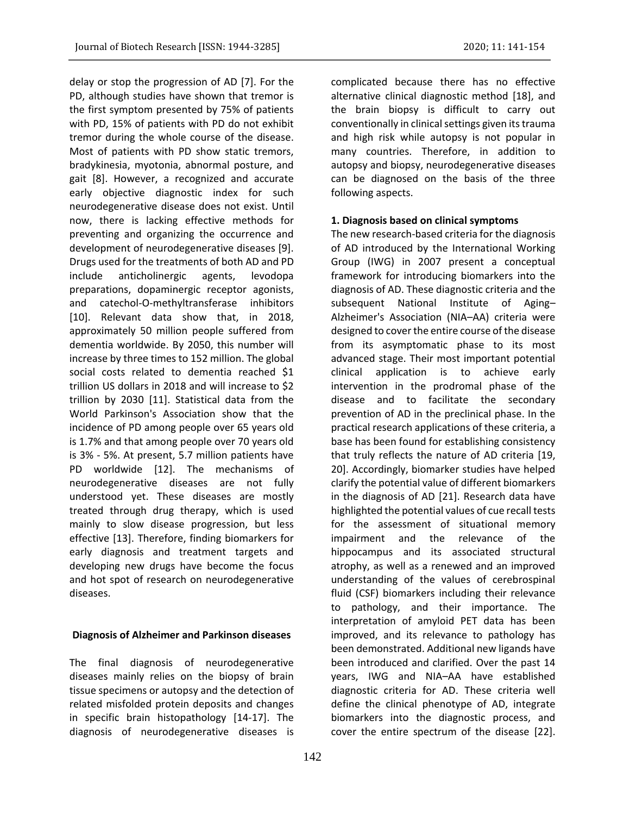delay or stop the progression of AD [7]. For the PD, although studies have shown that tremor is the first symptom presented by 75% of patients with PD, 15% of patients with PD do not exhibit tremor during the whole course of the disease. Most of patients with PD show static tremors, bradykinesia, myotonia, abnormal posture, and gait [8]. However, a recognized and accurate early objective diagnostic index for such neurodegenerative disease does not exist. Until now, there is lacking effective methods for preventing and organizing the occurrence and development of neurodegenerative diseases [9]. Drugs used for the treatments of both AD and PD include anticholinergic agents, levodopa preparations, dopaminergic receptor agonists, and catechol-O-methyltransferase inhibitors [10]. Relevant data show that, in 2018, approximately 50 million people suffered from dementia worldwide. By 2050, this number will increase by three times to 152 million. The global social costs related to dementia reached \$1 trillion US dollars in 2018 and will increase to \$2 trillion by 2030 [11]. Statistical data from the World Parkinson's Association show that the incidence of PD among people over 65 years old is 1.7% and that among people over 70 years old is 3% - 5%. At present, 5.7 million patients have PD worldwide [12]. The mechanisms of neurodegenerative diseases are not fully understood yet. These diseases are mostly treated through drug therapy, which is used mainly to slow disease progression, but less effective [13]. Therefore, finding biomarkers for early diagnosis and treatment targets and developing new drugs have become the focus and hot spot of research on neurodegenerative diseases.

### **Diagnosis of Alzheimer and Parkinson diseases**

The final diagnosis of neurodegenerative diseases mainly relies on the biopsy of brain tissue specimens or autopsy and the detection of related misfolded protein deposits and changes in specific brain histopathology [14-17]. The diagnosis of neurodegenerative diseases is

complicated because there has no effective alternative clinical diagnostic method [18], and the brain biopsy is difficult to carry out conventionally in clinical settings given its trauma and high risk while autopsy is not popular in many countries. Therefore, in addition to autopsy and biopsy, neurodegenerative diseases can be diagnosed on the basis of the three following aspects.

### **1. Diagnosis based on clinical symptoms**

The new research-based criteria for the diagnosis of AD introduced by the International Working Group (IWG) in 2007 present a conceptual framework for introducing biomarkers into the diagnosis of AD. These diagnostic criteria and the subsequent National Institute of Aging– Alzheimer's Association (NIA–AA) criteria were designed to cover the entire course of the disease from its asymptomatic phase to its most advanced stage. Their most important potential clinical application is to achieve early intervention in the prodromal phase of the disease and to facilitate the secondary prevention of AD in the preclinical phase. In the practical research applications of these criteria, a base has been found for establishing consistency that truly reflects the nature of AD criteria [19, 20]. Accordingly, biomarker studies have helped clarify the potential value of different biomarkers in the diagnosis of AD [21]. Research data have highlighted the potential values of cue recall tests for the assessment of situational memory impairment and the relevance of the hippocampus and its associated structural atrophy, as well as a renewed and an improved understanding of the values of cerebrospinal fluid (CSF) biomarkers including their relevance to pathology, and their importance. The interpretation of amyloid PET data has been improved, and its relevance to pathology has been demonstrated. Additional new ligands have been introduced and clarified. Over the past 14 years, IWG and NIA–AA have established diagnostic criteria for AD. These criteria well define the clinical phenotype of AD, integrate biomarkers into the diagnostic process, and cover the entire spectrum of the disease [22].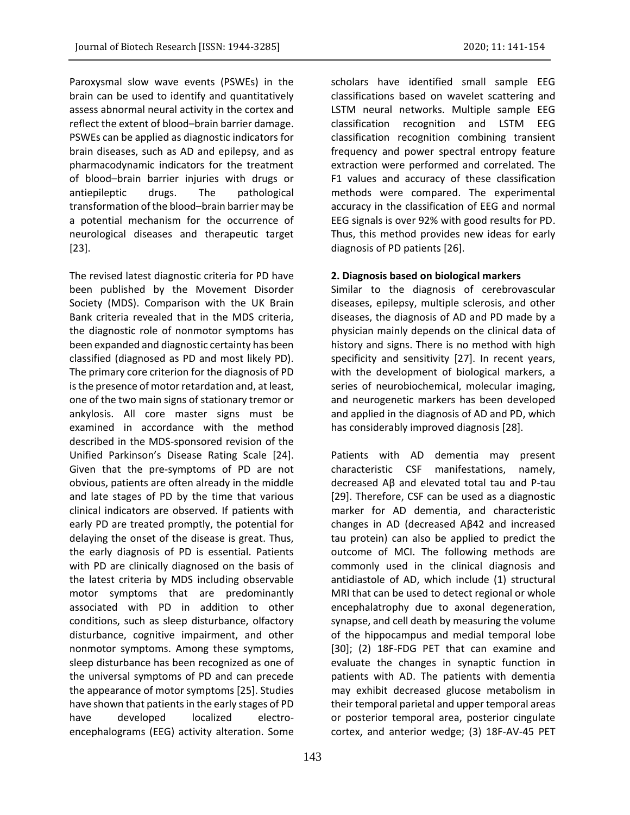Paroxysmal slow wave events (PSWEs) in the brain can be used to identify and quantitatively assess abnormal neural activity in the cortex and reflect the extent of blood–brain barrier damage. PSWEs can be applied as diagnostic indicators for brain diseases, such as AD and epilepsy, and as pharmacodynamic indicators for the treatment of blood–brain barrier injuries with drugs or antiepileptic drugs. The pathological transformation of the blood–brain barrier may be a potential mechanism for the occurrence of neurological diseases and therapeutic target [23].

The revised latest diagnostic criteria for PD have been published by the Movement Disorder Society (MDS). Comparison with the UK Brain Bank criteria revealed that in the MDS criteria, the diagnostic role of nonmotor symptoms has been expanded and diagnostic certainty has been classified (diagnosed as PD and most likely PD). The primary core criterion for the diagnosis of PD is the presence of motor retardation and, at least, one of the two main signs of stationary tremor or ankylosis. All core master signs must be examined in accordance with the method described in the MDS-sponsored revision of the Unified Parkinson's Disease Rating Scale [24]. Given that the pre-symptoms of PD are not obvious, patients are often already in the middle and late stages of PD by the time that various clinical indicators are observed. If patients with early PD are treated promptly, the potential for delaying the onset of the disease is great. Thus, the early diagnosis of PD is essential. Patients with PD are clinically diagnosed on the basis of the latest criteria by MDS including observable motor symptoms that are predominantly associated with PD in addition to other conditions, such as sleep disturbance, olfactory disturbance, cognitive impairment, and other nonmotor symptoms. Among these symptoms, sleep disturbance has been recognized as one of the universal symptoms of PD and can precede the appearance of motor symptoms [25]. Studies have shown that patients in the early stages of PD have developed localized electroencephalograms (EEG) activity alteration. Some scholars have identified small sample EEG classifications based on wavelet scattering and LSTM neural networks. Multiple sample EEG classification recognition and LSTM EEG classification recognition combining transient frequency and power spectral entropy feature extraction were performed and correlated. The F1 values and accuracy of these classification methods were compared. The experimental accuracy in the classification of EEG and normal EEG signals is over 92% with good results for PD. Thus, this method provides new ideas for early diagnosis of PD patients [26].

### **2. Diagnosis based on biological markers**

Similar to the diagnosis of cerebrovascular diseases, epilepsy, multiple sclerosis, and other diseases, the diagnosis of AD and PD made by a physician mainly depends on the clinical data of history and signs. There is no method with high specificity and sensitivity [27]. In recent years, with the development of biological markers, a series of neurobiochemical, molecular imaging, and neurogenetic markers has been developed and applied in the diagnosis of AD and PD, which has considerably improved diagnosis [28].

Patients with AD dementia may present characteristic CSF manifestations, namely, decreased Aβ and elevated total tau and P-tau [29]. Therefore, CSF can be used as a diagnostic marker for AD dementia, and characteristic changes in AD (decreased Aβ42 and increased tau protein) can also be applied to predict the outcome of MCI. The following methods are commonly used in the clinical diagnosis and antidiastole of AD, which include (1) structural MRI that can be used to detect regional or whole encephalatrophy due to axonal degeneration, synapse, and cell death by measuring the volume of the hippocampus and medial temporal lobe [30]; (2) 18F-FDG PET that can examine and evaluate the changes in synaptic function in patients with AD. The patients with dementia may exhibit decreased glucose metabolism in their temporal parietal and upper temporal areas or posterior temporal area, posterior cingulate cortex, and anterior wedge; (3) 18F-AV-45 PET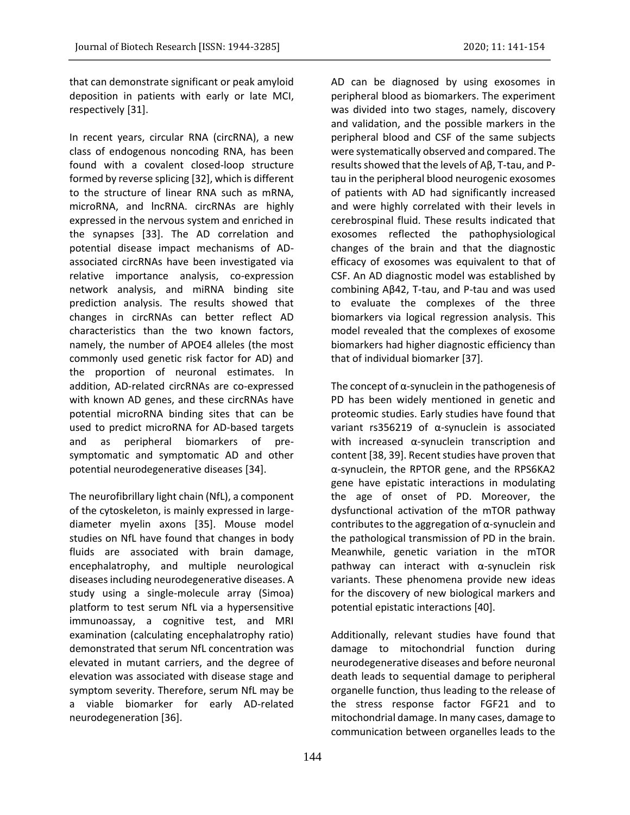that can demonstrate significant or peak amyloid deposition in patients with early or late MCI, respectively [31].

In recent years, circular RNA (circRNA), a new class of endogenous noncoding RNA, has been found with a covalent closed-loop structure formed by reverse splicing [32], which is different to the structure of linear RNA such as mRNA, microRNA, and lncRNA. circRNAs are highly expressed in the nervous system and enriched in the synapses [33]. The AD correlation and potential disease impact mechanisms of ADassociated circRNAs have been investigated via relative importance analysis, co-expression network analysis, and miRNA binding site prediction analysis. The results showed that changes in circRNAs can better reflect AD characteristics than the two known factors, namely, the number of APOE4 alleles (the most commonly used genetic risk factor for AD) and the proportion of neuronal estimates. In addition, AD-related circRNAs are co-expressed with known AD genes, and these circRNAs have potential microRNA binding sites that can be used to predict microRNA for AD-based targets and as peripheral biomarkers of presymptomatic and symptomatic AD and other potential neurodegenerative diseases [34].

The neurofibrillary light chain (NfL), a component of the cytoskeleton, is mainly expressed in largediameter myelin axons [35]. Mouse model studies on NfL have found that changes in body fluids are associated with brain damage, encephalatrophy, and multiple neurological diseasesincluding neurodegenerative diseases. A study using a single-molecule array (Simoa) platform to test serum NfL via a hypersensitive immunoassay, a cognitive test, and MRI examination (calculating encephalatrophy ratio) demonstrated that serum NfL concentration was elevated in mutant carriers, and the degree of elevation was associated with disease stage and symptom severity. Therefore, serum NfL may be a viable biomarker for early AD-related neurodegeneration [36].

AD can be diagnosed by using exosomes in peripheral blood as biomarkers. The experiment was divided into two stages, namely, discovery and validation, and the possible markers in the peripheral blood and CSF of the same subjects were systematically observed and compared. The results showed that the levels of Aβ, T-tau, and Ptau in the peripheral blood neurogenic exosomes of patients with AD had significantly increased and were highly correlated with their levels in cerebrospinal fluid. These results indicated that exosomes reflected the pathophysiological changes of the brain and that the diagnostic efficacy of exosomes was equivalent to that of CSF. An AD diagnostic model was established by combining Aβ42, T-tau, and P-tau and was used to evaluate the complexes of the three biomarkers via logical regression analysis. This model revealed that the complexes of exosome biomarkers had higher diagnostic efficiency than that of individual biomarker [37].

The concept of  $\alpha$ -synuclein in the pathogenesis of PD has been widely mentioned in genetic and proteomic studies. Early studies have found that variant rs356219 of α-synuclein is associated with increased α-synuclein transcription and content [38, 39]. Recent studies have proven that α-synuclein, the RPTOR gene, and the RPS6KA2 gene have epistatic interactions in modulating the age of onset of PD. Moreover, the dysfunctional activation of the mTOR pathway contributes to the aggregation of  $\alpha$ -synuclein and the pathological transmission of PD in the brain. Meanwhile, genetic variation in the mTOR pathway can interact with α-synuclein risk variants. These phenomena provide new ideas for the discovery of new biological markers and potential epistatic interactions [40].

Additionally, relevant studies have found that damage to mitochondrial function during neurodegenerative diseases and before neuronal death leads to sequential damage to peripheral organelle function, thus leading to the release of the stress response factor FGF21 and to mitochondrial damage. In many cases, damage to communication between organelles leads to the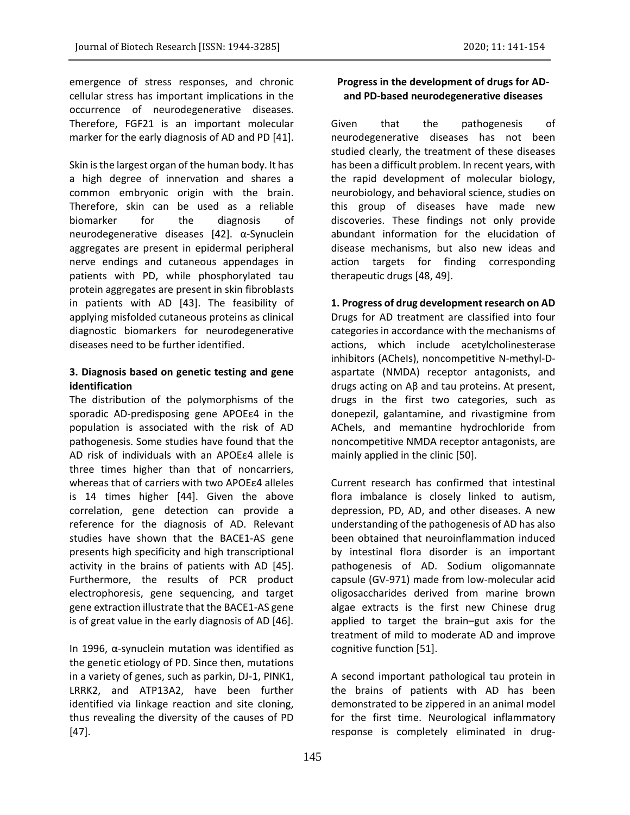emergence of stress responses, and chronic cellular stress has important implications in the occurrence of neurodegenerative diseases. Therefore, FGF21 is an important molecular marker for the early diagnosis of AD and PD [41].

Skin is the largest organ of the human body. It has a high degree of innervation and shares a common embryonic origin with the brain. Therefore, skin can be used as a reliable biomarker for the diagnosis of neurodegenerative diseases [42]. α-Synuclein aggregates are present in epidermal peripheral nerve endings and cutaneous appendages in patients with PD, while phosphorylated tau protein aggregates are present in skin fibroblasts in patients with AD [43]. The feasibility of applying misfolded cutaneous proteins as clinical diagnostic biomarkers for neurodegenerative diseases need to be further identified.

## **3. Diagnosis based on genetic testing and gene identification**

The distribution of the polymorphisms of the sporadic AD-predisposing gene APOEε4 in the population is associated with the risk of AD pathogenesis. Some studies have found that the AD risk of individuals with an APOEε4 allele is three times higher than that of noncarriers, whereas that of carriers with two APOEε4 alleles is 14 times higher [44]. Given the above correlation, gene detection can provide a reference for the diagnosis of AD. Relevant studies have shown that the BACE1-AS gene presents high specificity and high transcriptional activity in the brains of patients with AD [45]. Furthermore, the results of PCR product electrophoresis, gene sequencing, and target gene extraction illustrate that the BACE1-AS gene is of great value in the early diagnosis of AD [46].

In 1996, α-synuclein mutation was identified as the genetic etiology of PD. Since then, mutations in a variety of genes, such as parkin, DJ-1, PINK1, LRRK2, and ATP13A2, have been further identified via linkage reaction and site cloning, thus revealing the diversity of the causes of PD [47].

## **Progress in the development of drugs for ADand PD-based neurodegenerative diseases**

Given that the pathogenesis of neurodegenerative diseases has not been studied clearly, the treatment of these diseases has been a difficult problem. In recent years, with the rapid development of molecular biology, neurobiology, and behavioral science, studies on this group of diseases have made new discoveries. These findings not only provide abundant information for the elucidation of disease mechanisms, but also new ideas and action targets for finding corresponding therapeutic drugs [48, 49].

# **1. Progress of drug development research on AD**

Drugs for AD treatment are classified into four categories in accordance with the mechanisms of actions, which include acetylcholinesterase inhibitors (ACheIs), noncompetitive N-methyl-Daspartate (NMDA) receptor antagonists, and drugs acting on Aβ and tau proteins. At present, drugs in the first two categories, such as donepezil, galantamine, and rivastigmine from ACheIs, and memantine hydrochloride from noncompetitive NMDA receptor antagonists, are mainly applied in the clinic [50].

Current research has confirmed that intestinal flora imbalance is closely linked to autism, depression, PD, AD, and other diseases. A new understanding of the pathogenesis of AD has also been obtained that neuroinflammation induced by intestinal flora disorder is an important pathogenesis of AD. Sodium oligomannate capsule (GV-971) made from low-molecular acid oligosaccharides derived from marine brown algae extracts is the first new Chinese drug applied to target the brain–gut axis for the treatment of mild to moderate AD and improve cognitive function [51].

A second important pathological tau protein in the brains of patients with AD has been demonstrated to be zippered in an animal model for the first time. Neurological inflammatory response is completely eliminated in drug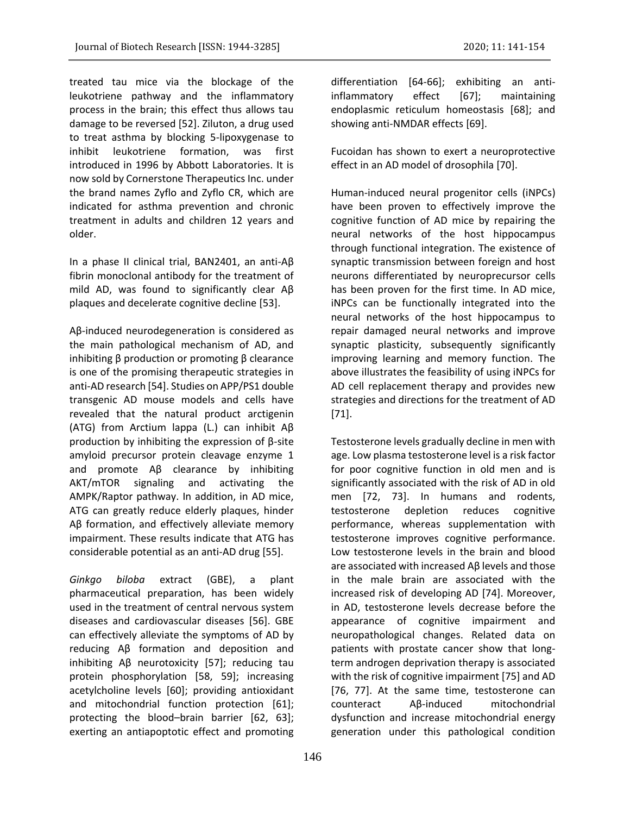treated tau mice via the blockage of the leukotriene pathway and the inflammatory process in the brain; this effect thus allows tau damage to be reversed [52]. Ziluton, a drug used to treat asthma by blocking 5-lipoxygenase to inhibit leukotriene formation, was first introduced in 1996 by Abbott Laboratories. It is now sold by Cornerstone Therapeutics Inc. under the brand names Zyflo and Zyflo CR, which are

indicated for asthma prevention and chronic treatment in adults and children 12 years and older.

In a phase II clinical trial, BAN2401, an anti-Aβ fibrin monoclonal antibody for the treatment of mild AD, was found to significantly clear Aβ plaques and decelerate cognitive decline [53].

Aβ-induced neurodegeneration is considered as the main pathological mechanism of AD, and inhibiting β production or promoting β clearance is one of the promising therapeutic strategies in anti-AD research [54]. Studies on APP/PS1 double transgenic AD mouse models and cells have revealed that the natural product arctigenin (ATG) from Arctium lappa (L.) can inhibit Aβ production by inhibiting the expression of β-site amyloid precursor protein cleavage enzyme 1 and promote Aβ clearance by inhibiting AKT/mTOR signaling and activating the AMPK/Raptor pathway. In addition, in AD mice, ATG can greatly reduce elderly plaques, hinder Aβ formation, and effectively alleviate memory impairment. These results indicate that ATG has considerable potential as an anti-AD drug [55].

*Ginkgo biloba* extract (GBE), a plant pharmaceutical preparation, has been widely used in the treatment of central nervous system diseases and cardiovascular diseases [56]. GBE can effectively alleviate the symptoms of AD by reducing Aβ formation and deposition and inhibiting Aβ neurotoxicity [57]; reducing tau protein phosphorylation [58, 59]; increasing acetylcholine levels [60]; providing antioxidant and mitochondrial function protection [61]; protecting the blood–brain barrier [62, 63]; exerting an antiapoptotic effect and promoting differentiation [64-66]; exhibiting an antiinflammatory effect [67]; maintaining endoplasmic reticulum homeostasis [68]; and showing anti-NMDAR effects [69].

Fucoidan has shown to exert a neuroprotective effect in an AD model of drosophila [70].

Human-induced neural progenitor cells (iNPCs) have been proven to effectively improve the cognitive function of AD mice by repairing the neural networks of the host hippocampus through functional integration. The existence of synaptic transmission between foreign and host neurons differentiated by neuroprecursor cells has been proven for the first time. In AD mice, iNPCs can be functionally integrated into the neural networks of the host hippocampus to repair damaged neural networks and improve synaptic plasticity, subsequently significantly improving learning and memory function. The above illustrates the feasibility of using iNPCs for AD cell replacement therapy and provides new strategies and directions for the treatment of AD [71].

Testosterone levels gradually decline in men with age. Low plasma testosterone level is a risk factor for poor cognitive function in old men and is significantly associated with the risk of AD in old men [72, 73]. In humans and rodents, testosterone depletion reduces cognitive performance, whereas supplementation with testosterone improves cognitive performance. Low testosterone levels in the brain and blood are associated with increased Aβ levels and those in the male brain are associated with the increased risk of developing AD [74]. Moreover, in AD, testosterone levels decrease before the appearance of cognitive impairment and neuropathological changes. Related data on patients with prostate cancer show that longterm androgen deprivation therapy is associated with the risk of cognitive impairment [75] and AD [76, 77]. At the same time, testosterone can counteract Aβ-induced mitochondrial dysfunction and increase mitochondrial energy generation under this pathological condition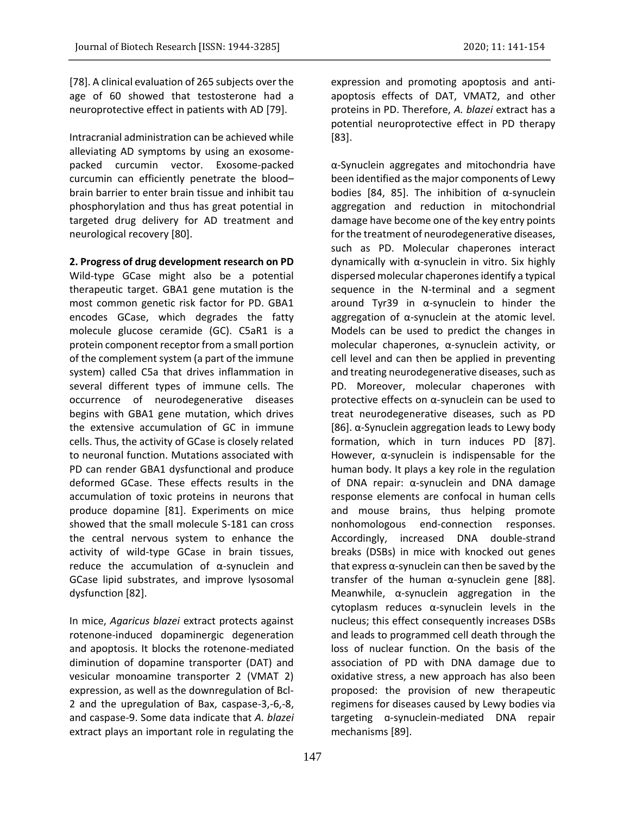[78]. A clinical evaluation of 265 subjects over the age of 60 showed that testosterone had a neuroprotective effect in patients with AD [79].

Intracranial administration can be achieved while alleviating AD symptoms by using an exosomepacked curcumin vector. Exosome-packed curcumin can efficiently penetrate the blood– brain barrier to enter brain tissue and inhibit tau phosphorylation and thus has great potential in targeted drug delivery for AD treatment and neurological recovery [80].

### **2. Progress of drug development research on PD**

Wild-type GCase might also be a potential therapeutic target. GBA1 gene mutation is the most common genetic risk factor for PD. GBA1 encodes GCase, which degrades the fatty molecule glucose ceramide (GC). C5aR1 is a protein component receptor from a small portion of the complement system (a part of the immune system) called C5a that drives inflammation in several different types of immune cells. The occurrence of neurodegenerative diseases begins with GBA1 gene mutation, which drives the extensive accumulation of GC in immune cells. Thus, the activity of GCase is closely related to neuronal function. Mutations associated with PD can render GBA1 dysfunctional and produce deformed GCase. These effects results in the accumulation of toxic proteins in neurons that produce dopamine [81]. Experiments on mice showed that the small molecule S-181 can cross the central nervous system to enhance the activity of wild-type GCase in brain tissues, reduce the accumulation of α-synuclein and GCase lipid substrates, and improve lysosomal dysfunction [82].

In mice, *Agaricus blazei* extract protects against rotenone-induced dopaminergic degeneration and apoptosis. It blocks the rotenone-mediated diminution of dopamine transporter (DAT) and vesicular monoamine transporter 2 (VMAT 2) expression, as well as the downregulation of Bcl-2 and the upregulation of Bax, caspase-3,-6,-8, and caspase-9. Some data indicate that *A. blazei* extract plays an important role in regulating the

expression and promoting apoptosis and antiapoptosis effects of DAT, VMAT2, and other proteins in PD. Therefore, *A. blazei* extract has a potential neuroprotective effect in PD therapy [83].

α-Synuclein aggregates and mitochondria have been identified as the major components of Lewy bodies [84, 85]. The inhibition of  $\alpha$ -synuclein aggregation and reduction in mitochondrial damage have become one of the key entry points for the treatment of neurodegenerative diseases, such as PD. Molecular chaperones interact dynamically with α-synuclein in vitro. Six highly dispersed molecular chaperones identify a typical sequence in the N-terminal and a segment around Tyr39 in α-synuclein to hinder the aggregation of α-synuclein at the atomic level. Models can be used to predict the changes in molecular chaperones, α-synuclein activity, or cell level and can then be applied in preventing and treating neurodegenerative diseases, such as PD. Moreover, molecular chaperones with protective effects on α-synuclein can be used to treat neurodegenerative diseases, such as PD [86]. α-Synuclein aggregation leads to Lewy body formation, which in turn induces PD [87]. However, α-synuclein is indispensable for the human body. It plays a key role in the regulation of DNA repair: α-synuclein and DNA damage response elements are confocal in human cells and mouse brains, thus helping promote nonhomologous end-connection responses. Accordingly, increased DNA double-strand breaks (DSBs) in mice with knocked out genes that express  $\alpha$ -synuclein can then be saved by the transfer of the human α-synuclein gene [88]. Meanwhile, α-synuclein aggregation in the cytoplasm reduces α-synuclein levels in the nucleus; this effect consequently increases DSBs and leads to programmed cell death through the loss of nuclear function. On the basis of the association of PD with DNA damage due to oxidative stress, a new approach has also been proposed: the provision of new therapeutic regimens for diseases caused by Lewy bodies via targeting ɑ-synuclein-mediated DNA repair mechanisms [89].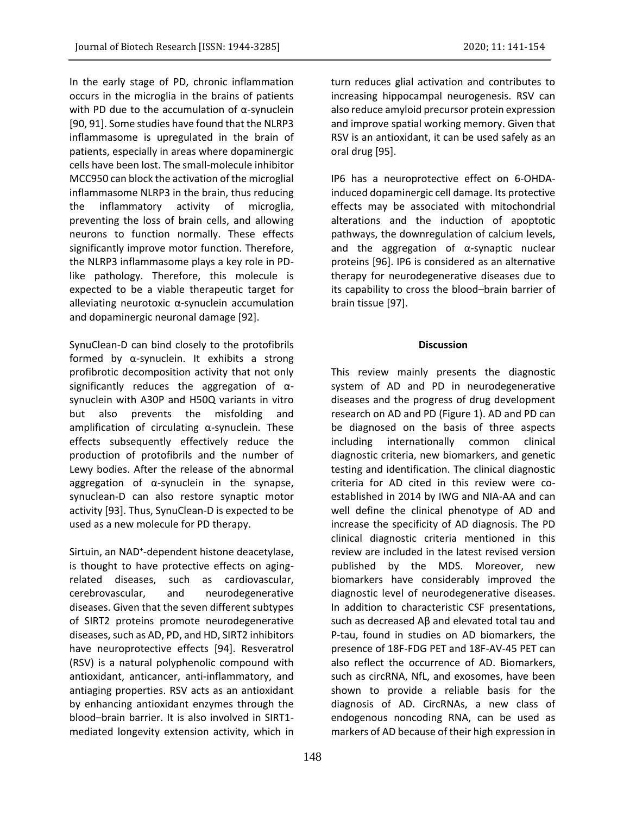In the early stage of PD, chronic inflammation occurs in the microglia in the brains of patients with PD due to the accumulation of  $α$ -synuclein [90, 91]. Some studies have found that the NLRP3 inflammasome is upregulated in the brain of patients, especially in areas where dopaminergic cells have been lost. The small-molecule inhibitor MCC950 can block the activation of the microglial inflammasome NLRP3 in the brain, thus reducing the inflammatory activity of microglia, preventing the loss of brain cells, and allowing neurons to function normally. These effects significantly improve motor function. Therefore, the NLRP3 inflammasome plays a key role in PDlike pathology. Therefore, this molecule is expected to be a viable therapeutic target for alleviating neurotoxic α-synuclein accumulation and dopaminergic neuronal damage [92].

SynuClean-D can bind closely to the protofibrils formed by α-synuclein. It exhibits a strong profibrotic decomposition activity that not only significantly reduces the aggregation of  $\alpha$ synuclein with A30P and H50Q variants in vitro but also prevents the misfolding and amplification of circulating α-synuclein. These effects subsequently effectively reduce the production of protofibrils and the number of Lewy bodies. After the release of the abnormal aggregation of  $\alpha$ -synuclein in the synapse, synuclean-D can also restore synaptic motor activity [93]. Thus, SynuClean-D is expected to be used as a new molecule for PD therapy.

Sirtuin, an NAD<sup>+</sup>-dependent histone deacetylase, is thought to have protective effects on agingrelated diseases, such as cardiovascular, cerebrovascular, and neurodegenerative diseases. Given that the seven different subtypes of SIRT2 proteins promote neurodegenerative diseases, such as AD, PD, and HD, SIRT2 inhibitors have neuroprotective effects [94]. Resveratrol (RSV) is a natural polyphenolic compound with antioxidant, anticancer, anti-inflammatory, and antiaging properties. RSV acts as an antioxidant by enhancing antioxidant enzymes through the blood–brain barrier. It is also involved in SIRT1 mediated longevity extension activity, which in

turn reduces glial activation and contributes to increasing hippocampal neurogenesis. RSV can also reduce amyloid precursor protein expression and improve spatial working memory. Given that RSV is an antioxidant, it can be used safely as an oral drug [95].

IP6 has a neuroprotective effect on 6-OHDAinduced dopaminergic cell damage. Its protective effects may be associated with mitochondrial alterations and the induction of apoptotic pathways, the downregulation of calcium levels, and the aggregation of α-synaptic nuclear proteins [96]. IP6 is considered as an alternative therapy for neurodegenerative diseases due to its capability to cross the blood–brain barrier of brain tissue [97].

### **Discussion**

This review mainly presents the diagnostic system of AD and PD in neurodegenerative diseases and the progress of drug development research on AD and PD (Figure 1). AD and PD can be diagnosed on the basis of three aspects including internationally common clinical diagnostic criteria, new biomarkers, and genetic testing and identification. The clinical diagnostic criteria for AD cited in this review were coestablished in 2014 by IWG and NIA-AA and can well define the clinical phenotype of AD and increase the specificity of AD diagnosis. The PD clinical diagnostic criteria mentioned in this review are included in the latest revised version published by the MDS. Moreover, new biomarkers have considerably improved the diagnostic level of neurodegenerative diseases. In addition to characteristic CSF presentations, such as decreased Aβ and elevated total tau and P-tau, found in studies on AD biomarkers, the presence of 18F-FDG PET and 18F-AV-45 PET can also reflect the occurrence of AD. Biomarkers, such as circRNA, NfL, and exosomes, have been shown to provide a reliable basis for the diagnosis of AD. CircRNAs, a new class of endogenous noncoding RNA, can be used as markers of AD because of their high expression in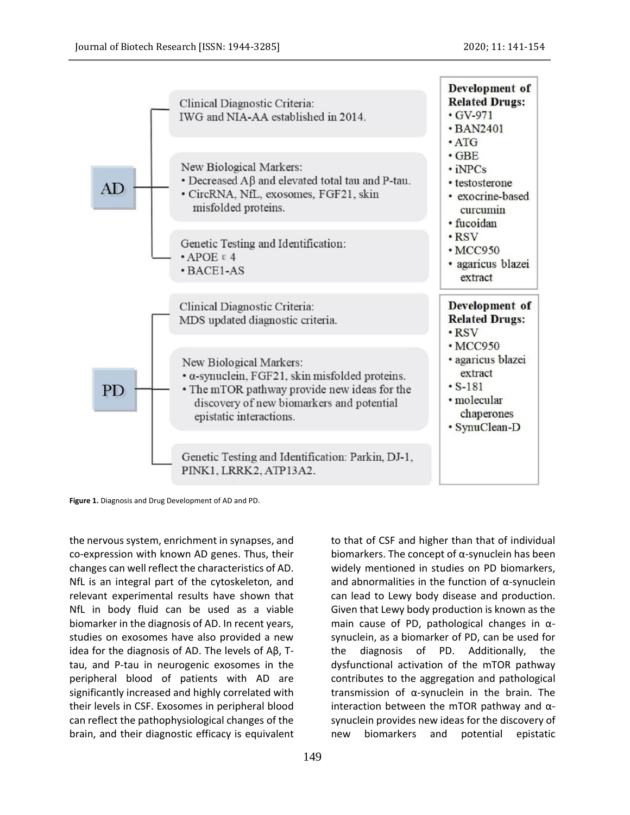

**Figure 1.** Diagnosis and Drug Development of AD and PD.

the nervous system, enrichment in synapses, and co-expression with known AD genes. Thus, their changes can well reflect the characteristics of AD. NfL is an integral part of the cytoskeleton, and relevant experimental results have shown that NfL in body fluid can be used as a viable biomarker in the diagnosis of AD. In recent years, studies on exosomes have also provided a new idea for the diagnosis of AD. The levels of Aβ, Ttau, and P-tau in neurogenic exosomes in the peripheral blood of patients with AD are significantly increased and highly correlated with their levels in CSF. Exosomes in peripheral blood can reflect the pathophysiological changes of the brain, and their diagnostic efficacy is equivalent to that of CSF and higher than that of individual biomarkers. The concept of  $\alpha$ -synuclein has been widely mentioned in studies on PD biomarkers, and abnormalities in the function of  $\alpha$ -synuclein can lead to Lewy body disease and production. Given that Lewy body production is known as the main cause of PD, pathological changes in  $\alpha$ synuclein, as a biomarker of PD, can be used for the diagnosis of PD. Additionally, the dysfunctional activation of the mTOR pathway contributes to the aggregation and pathological transmission of α-synuclein in the brain. The interaction between the mTOR pathway and  $\alpha$ synuclein provides new ideas for the discovery of new biomarkers and potential epistatic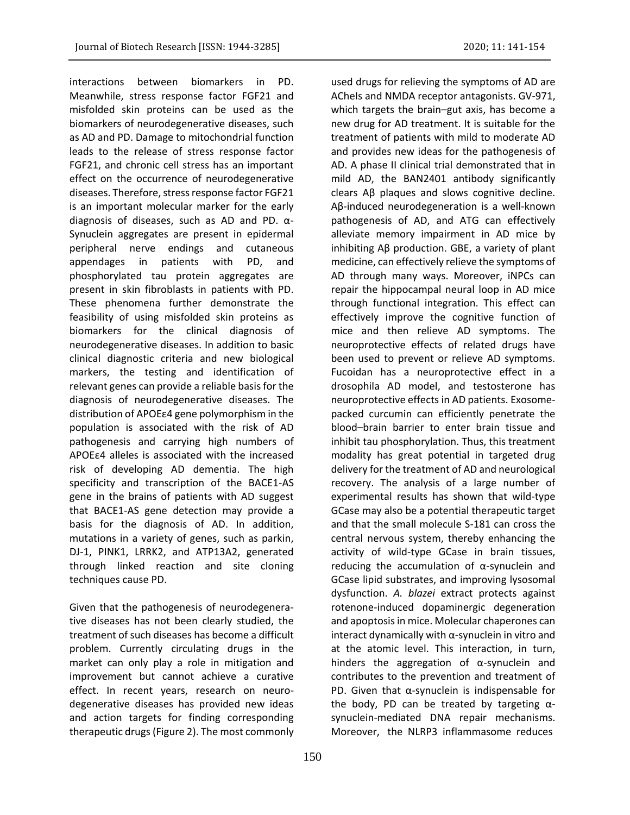interactions between biomarkers in PD. Meanwhile, stress response factor FGF21 and misfolded skin proteins can be used as the biomarkers of neurodegenerative diseases, such as AD and PD. Damage to mitochondrial function leads to the release of stress response factor FGF21, and chronic cell stress has an important effect on the occurrence of neurodegenerative diseases. Therefore, stress response factor FGF21 is an important molecular marker for the early diagnosis of diseases, such as AD and PD. α-Synuclein aggregates are present in epidermal peripheral nerve endings and cutaneous appendages in patients with PD, and phosphorylated tau protein aggregates are present in skin fibroblasts in patients with PD. These phenomena further demonstrate the feasibility of using misfolded skin proteins as biomarkers for the clinical diagnosis of neurodegenerative diseases. In addition to basic clinical diagnostic criteria and new biological markers, the testing and identification of relevant genes can provide a reliable basis for the diagnosis of neurodegenerative diseases. The distribution of APOEε4 gene polymorphism in the population is associated with the risk of AD pathogenesis and carrying high numbers of APOEε4 alleles is associated with the increased risk of developing AD dementia. The high specificity and transcription of the BACE1-AS gene in the brains of patients with AD suggest that BACE1-AS gene detection may provide a basis for the diagnosis of AD. In addition, mutations in a variety of genes, such as parkin, DJ-1, PINK1, LRRK2, and ATP13A2, generated through linked reaction and site cloning techniques cause PD.

Given that the pathogenesis of neurodegenerative diseases has not been clearly studied, the treatment of such diseases has become a difficult problem. Currently circulating drugs in the market can only play a role in mitigation and improvement but cannot achieve a curative effect. In recent years, research on neurodegenerative diseases has provided new ideas and action targets for finding corresponding therapeutic drugs(Figure 2). The most commonly

used drugs for relieving the symptoms of AD are ACheIs and NMDA receptor antagonists. GV-971, which targets the brain–gut axis, has become a new drug for AD treatment. It is suitable for the treatment of patients with mild to moderate AD and provides new ideas for the pathogenesis of AD. A phase II clinical trial demonstrated that in mild AD, the BAN2401 antibody significantly clears Aβ plaques and slows cognitive decline. Aβ-induced neurodegeneration is a well-known pathogenesis of AD, and ATG can effectively alleviate memory impairment in AD mice by inhibiting Aβ production. GBE, a variety of plant medicine, can effectively relieve the symptoms of AD through many ways. Moreover, iNPCs can repair the hippocampal neural loop in AD mice through functional integration. This effect can effectively improve the cognitive function of mice and then relieve AD symptoms. The neuroprotective effects of related drugs have been used to prevent or relieve AD symptoms. Fucoidan has a neuroprotective effect in a drosophila AD model, and testosterone has neuroprotective effects in AD patients. Exosomepacked curcumin can efficiently penetrate the blood–brain barrier to enter brain tissue and inhibit tau phosphorylation. Thus, this treatment modality has great potential in targeted drug delivery for the treatment of AD and neurological recovery. The analysis of a large number of experimental results has shown that wild-type GCase may also be a potential therapeutic target and that the small molecule S-181 can cross the central nervous system, thereby enhancing the activity of wild-type GCase in brain tissues, reducing the accumulation of  $\alpha$ -synuclein and GCase lipid substrates, and improving lysosomal dysfunction. *A. blazei* extract protects against rotenone-induced dopaminergic degeneration and apoptosis in mice. Molecular chaperones can interact dynamically with α-synuclein in vitro and at the atomic level. This interaction, in turn, hinders the aggregation of α-synuclein and contributes to the prevention and treatment of PD. Given that α-synuclein is indispensable for the body, PD can be treated by targeting  $α$ synuclein-mediated DNA repair mechanisms. Moreover, the NLRP3 inflammasome reduces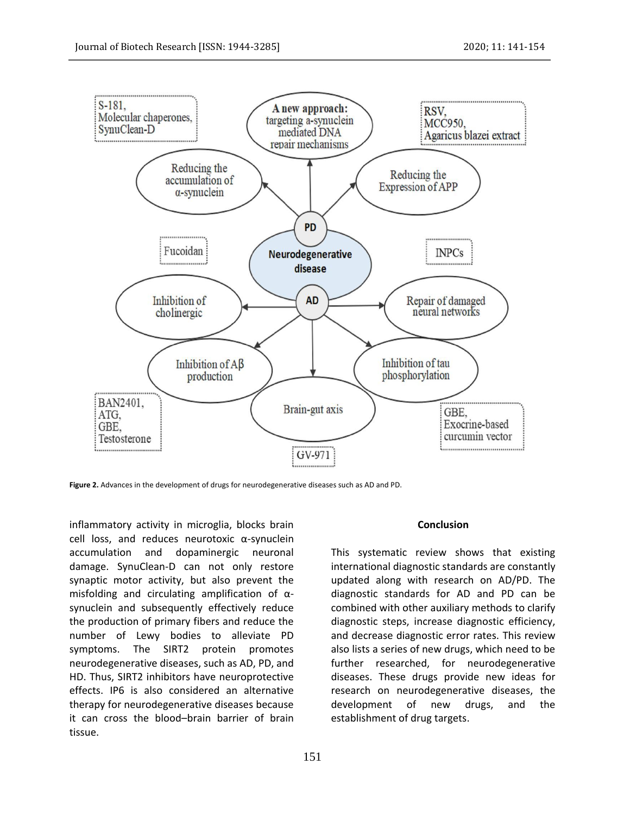

**Figure 2.** Advances in the development of drugs for neurodegenerative diseases such as AD and PD.

inflammatory activity in microglia, blocks brain cell loss, and reduces neurotoxic α-synuclein accumulation and dopaminergic neuronal damage. SynuClean-D can not only restore synaptic motor activity, but also prevent the misfolding and circulating amplification of αsynuclein and subsequently effectively reduce the production of primary fibers and reduce the number of Lewy bodies to alleviate PD symptoms. The SIRT2 protein promotes neurodegenerative diseases, such as AD, PD, and HD. Thus, SIRT2 inhibitors have neuroprotective effects. IP6 is also considered an alternative therapy for neurodegenerative diseases because it can cross the blood–brain barrier of brain tissue.

#### **Conclusion**

This systematic review shows that existing international diagnostic standards are constantly updated along with research on AD/PD. The diagnostic standards for AD and PD can be combined with other auxiliary methods to clarify diagnostic steps, increase diagnostic efficiency, and decrease diagnostic error rates. This review also lists a series of new drugs, which need to be further researched, for neurodegenerative diseases. These drugs provide new ideas for research on neurodegenerative diseases, the development of new drugs, and the establishment of drug targets.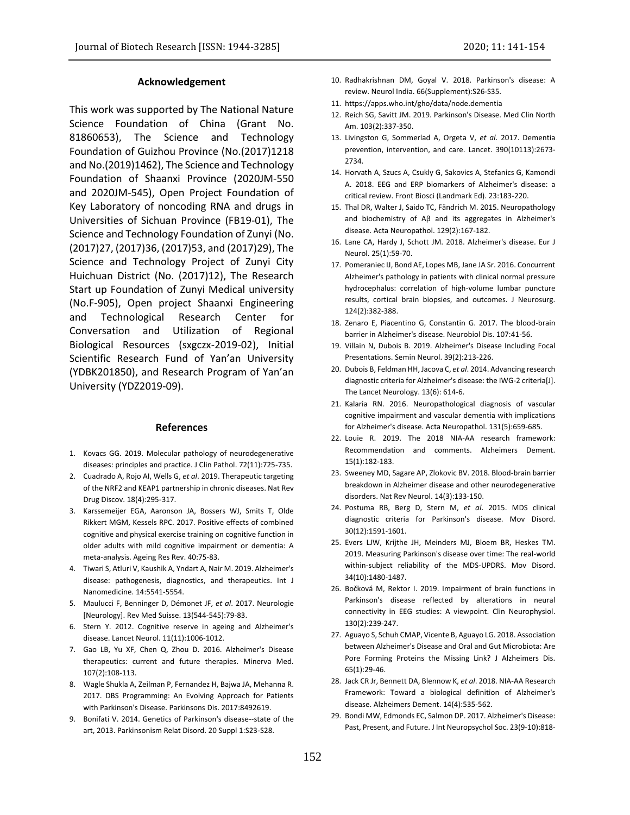### **Acknowledgement**

This work was supported by The National Nature Science Foundation of China (Grant No. 81860653), The Science and Technology Foundation of Guizhou Province (No.(2017)1218 and No.(2019)1462), The Science and Technology Foundation of Shaanxi Province (2020JM-550 and 2020JM-545), Open Project Foundation of Key Laboratory of noncoding RNA and drugs in Universities of Sichuan Province (FB19-01), The Science and Technology Foundation of Zunyi (No. (2017)27, (2017)36, (2017)53, and (2017)29), The Science and Technology Project of Zunyi City Huichuan District (No. (2017)12), The Research Start up Foundation of Zunyi Medical university (No.F-905), Open project Shaanxi Engineering and Technological Research Center for Conversation and Utilization of Regional Biological Resources (sxgczx-2019-02), Initial Scientific Research Fund of Yan'an University (YDBK201850), and Research Program of Yan'an University (YDZ2019-09).

#### **References**

- 1. Kovacs GG. 2019. Molecular pathology of neurodegenerative diseases: principles and practice. J Clin Pathol. 72(11):725-735.
- 2. Cuadrado A, Rojo AI, Wells G, *et al*. 2019. Therapeutic targeting of the NRF2 and KEAP1 partnership in chronic diseases. Nat Rev Drug Discov. 18(4):295-317.
- 3. Karssemeijer EGA, Aaronson JA, Bossers WJ, Smits T, Olde Rikkert MGM, Kessels RPC. 2017. Positive effects of combined cognitive and physical exercise training on cognitive function in older adults with mild cognitive impairment or dementia: A meta-analysis. Ageing Res Rev. 40:75-83.
- 4. Tiwari S, Atluri V, Kaushik A, Yndart A, Nair M. 2019. Alzheimer's disease: pathogenesis, diagnostics, and therapeutics. Int J Nanomedicine. 14:5541-5554.
- 5. Maulucci F, Benninger D, Démonet JF, *et al*. 2017. Neurologie [Neurology]. Rev Med Suisse. 13(544-545):79-83.
- 6. Stern Y. 2012. Cognitive reserve in ageing and Alzheimer's disease. Lancet Neurol. 11(11):1006-1012.
- 7. Gao LB, Yu XF, Chen Q, Zhou D. 2016. Alzheimer's Disease therapeutics: current and future therapies. Minerva Med. 107(2):108-113.
- 8. Wagle Shukla A, Zeilman P, Fernandez H, Bajwa JA, Mehanna R. 2017. DBS Programming: An Evolving Approach for Patients with Parkinson's Disease. Parkinsons Dis. 2017:8492619.
- 9. Bonifati V. 2014. Genetics of Parkinson's disease--state of the art, 2013. Parkinsonism Relat Disord. 20 Suppl 1:S23-S28.
- 10. Radhakrishnan DM, Goyal V. 2018. Parkinson's disease: A review. Neurol India. 66(Supplement):S26-S35.
- 11. https://apps.who.int/gho/data/node.dementia
- 12. Reich SG, Savitt JM. 2019. Parkinson's Disease. Med Clin North Am. 103(2):337-350.
- 13. Livingston G, Sommerlad A, Orgeta V, *et al*. 2017. Dementia prevention, intervention, and care. Lancet. 390(10113):2673- 2734.
- 14. Horvath A, Szucs A, Csukly G, Sakovics A, Stefanics G, Kamondi A. 2018. EEG and ERP biomarkers of Alzheimer's disease: a critical review. Front Biosci (Landmark Ed). 23:183-220.
- 15. Thal DR, Walter J, Saido TC, Fändrich M. 2015. Neuropathology and biochemistry of Aβ and its aggregates in Alzheimer's disease. Acta Neuropathol. 129(2):167-182.
- 16. Lane CA, Hardy J, Schott JM. 2018. Alzheimer's disease. Eur J Neurol. 25(1):59-70.
- 17. Pomeraniec IJ, Bond AE, Lopes MB, Jane JA Sr. 2016. Concurrent Alzheimer's pathology in patients with clinical normal pressure hydrocephalus: correlation of high-volume lumbar puncture results, cortical brain biopsies, and outcomes. J Neurosurg. 124(2):382-388.
- 18. Zenaro E, Piacentino G, Constantin G. 2017. The blood-brain barrier in Alzheimer's disease. Neurobiol Dis. 107:41-56.
- 19. Villain N, Dubois B. 2019. Alzheimer's Disease Including Focal Presentations. Semin Neurol. 39(2):213-226.
- 20. Dubois B, Feldman HH, Jacova C, *et al*. 2014. Advancing research diagnostic criteria for Alzheimer's disease: the IWG-2 criteria[J]. The Lancet Neurology. 13(6): 614-6.
- 21. Kalaria RN. 2016. Neuropathological diagnosis of vascular cognitive impairment and vascular dementia with implications for Alzheimer's disease. Acta Neuropathol. 131(5):659-685.
- 22. Louie R. 2019. The 2018 NIA-AA research framework: Recommendation and comments. Alzheimers Dement. 15(1):182-183.
- 23. Sweeney MD, Sagare AP, Zlokovic BV. 2018. Blood-brain barrier breakdown in Alzheimer disease and other neurodegenerative disorders. Nat Rev Neurol. 14(3):133-150.
- 24. Postuma RB, Berg D, Stern M, *et al*. 2015. MDS clinical diagnostic criteria for Parkinson's disease. Mov Disord. 30(12):1591-1601.
- 25. Evers LJW, Krijthe JH, Meinders MJ, Bloem BR, Heskes TM. 2019. Measuring Parkinson's disease over time: The real-world within-subject reliability of the MDS-UPDRS. Mov Disord. 34(10):1480-1487.
- 26. Bočková M, Rektor I. 2019. Impairment of brain functions in Parkinson's disease reflected by alterations in neural connectivity in EEG studies: A viewpoint. Clin Neurophysiol. 130(2):239-247.
- 27. Aguayo S, Schuh CMAP, Vicente B, Aguayo LG. 2018. Association between Alzheimer's Disease and Oral and Gut Microbiota: Are Pore Forming Proteins the Missing Link? J Alzheimers Dis. 65(1):29-46.
- 28. Jack CR Jr, Bennett DA, Blennow K, *et al*. 2018. NIA-AA Research Framework: Toward a biological definition of Alzheimer's disease. Alzheimers Dement. 14(4):535-562.
- 29. Bondi MW, Edmonds EC, Salmon DP. 2017. Alzheimer's Disease: Past, Present, and Future. J Int Neuropsychol Soc. 23(9-10):818-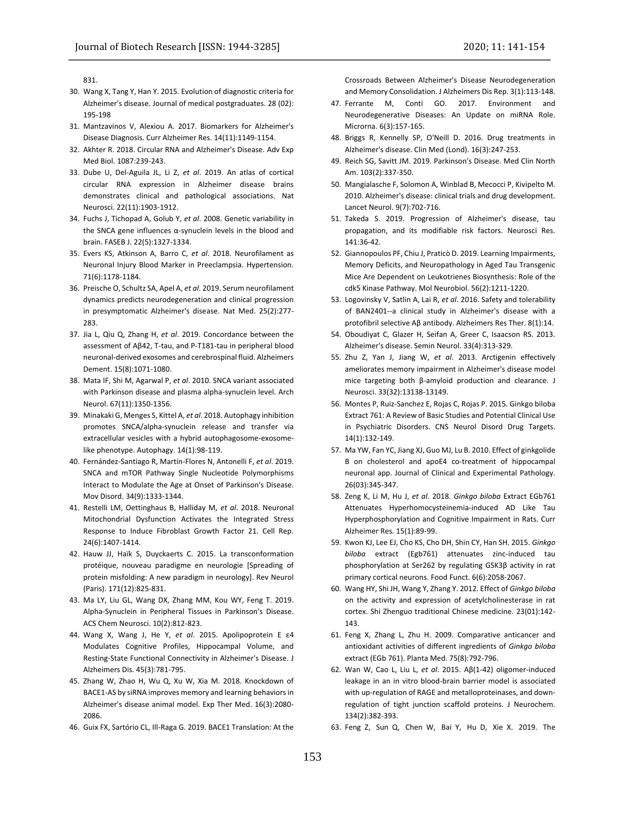831.

- 30. Wang X, Tang Y, Han Y. 2015. Evolution of diagnostic criteria for Alzheimer's disease. Journal of medical postgraduates. 28 (02): 195-198
- 31. Mantzavinos V, Alexiou A. 2017. Biomarkers for Alzheimer's Disease Diagnosis. Curr Alzheimer Res. 14(11):1149-1154.
- 32. Akhter R. 2018. Circular RNA and Alzheimer's Disease. Adv Exp Med Biol. 1087:239-243.
- 33. Dube U, Del-Aguila JL, Li Z, *et al*. 2019. An atlas of cortical circular RNA expression in Alzheimer disease brains demonstrates clinical and pathological associations. Nat Neurosci. 22(11):1903-1912.
- 34. Fuchs J, Tichopad A, Golub Y, *et al*. 2008. Genetic variability in the SNCA gene influences α-synuclein levels in the blood and brain. FASEB J. 22(5):1327-1334.
- 35. Evers KS, Atkinson A, Barro C, *et al*. 2018. Neurofilament as Neuronal Injury Blood Marker in Preeclampsia. Hypertension. 71(6):1178-1184.
- 36. Preische O, Schultz SA, Apel A, *et al*. 2019. Serum neurofilament dynamics predicts neurodegeneration and clinical progression in presymptomatic Alzheimer's disease. Nat Med. 25(2):277- 283.
- 37. Jia L, Qiu Q, Zhang H, *et al*. 2019. Concordance between the assessment of Aβ42, T-tau, and P-T181-tau in peripheral blood neuronal-derived exosomes and cerebrospinal fluid. Alzheimers Dement. 15(8):1071-1080.
- 38. Mata IF, Shi M, Agarwal P, *et al*. 2010. SNCA variant associated with Parkinson disease and plasma alpha-synuclein level. Arch Neurol. 67(11):1350-1356.
- 39. Minakaki G, Menges S, Kittel A, *et al*. 2018. Autophagy inhibition promotes SNCA/alpha-synuclein release and transfer via extracellular vesicles with a hybrid autophagosome-exosomelike phenotype. Autophagy. 14(1):98-119.
- 40. Fernández-Santiago R, Martín-Flores N, Antonelli F, *et al*. 2019. SNCA and mTOR Pathway Single Nucleotide Polymorphisms Interact to Modulate the Age at Onset of Parkinson's Disease. Mov Disord. 34(9):1333-1344.
- 41. Restelli LM, Oettinghaus B, Halliday M, *et al*. 2018. Neuronal Mitochondrial Dysfunction Activates the Integrated Stress Response to Induce Fibroblast Growth Factor 21. Cell Rep. 24(6):1407-1414.
- 42. Hauw JJ, Haïk S, Duyckaerts C. 2015. La transconformation protéique, nouveau paradigme en neurologie [Spreading of protein misfolding: A new paradigm in neurology]. Rev Neurol (Paris). 171(12):825-831.
- 43. Ma LY, Liu GL, Wang DX, Zhang MM, Kou WY, Feng T. 2019. Alpha-Synuclein in Peripheral Tissues in Parkinson's Disease. ACS Chem Neurosci. 10(2):812-823.
- 44. Wang X, Wang J, He Y, *et al*. 2015. Apolipoprotein E ε4 Modulates Cognitive Profiles, Hippocampal Volume, and Resting-State Functional Connectivity in Alzheimer's Disease. J Alzheimers Dis. 45(3):781-795.
- 45. Zhang W, Zhao H, Wu Q, Xu W, Xia M. 2018. Knockdown of BACE1-AS by siRNA improves memory and learning behaviors in Alzheimer's disease animal model. Exp Ther Med. 16(3):2080- 2086.
- 46. Guix FX, Sartório CL, Ill-Raga G. 2019. BACE1 Translation: At the

Crossroads Between Alzheimer's Disease Neurodegeneration and Memory Consolidation. J Alzheimers Dis Rep. 3(1):113-148.

- 47. Ferrante M, Conti GO. 2017. Environment and Neurodegenerative Diseases: An Update on miRNA Role. Microrna. 6(3):157-165.
- 48. Briggs R, Kennelly SP, O'Neill D. 2016. Drug treatments in Alzheimer's disease. Clin Med (Lond). 16(3):247-253.
- 49. Reich SG, Savitt JM. 2019. Parkinson's Disease. Med Clin North Am. 103(2):337-350.
- 50. Mangialasche F, Solomon A, Winblad B, Mecocci P, Kivipelto M. 2010. Alzheimer's disease: clinical trials and drug development. Lancet Neurol. 9(7):702-716.
- 51. Takeda S. 2019. Progression of Alzheimer's disease, tau propagation, and its modifiable risk factors. Neurosci Res. 141:36-42.
- 52. Giannopoulos PF, Chiu J, Praticò D. 2019. Learning Impairments, Memory Deficits, and Neuropathology in Aged Tau Transgenic Mice Are Dependent on Leukotrienes Biosynthesis: Role of the cdk5 Kinase Pathway. Mol Neurobiol. 56(2):1211-1220.
- 53. Logovinsky V, Satlin A, Lai R, *et al*. 2016. Safety and tolerability of BAN2401--a clinical study in Alzheimer's disease with a protofibril selective Aβ antibody. Alzheimers Res Ther. 8(1):14.
- 54. Oboudiyat C, Glazer H, Seifan A, Greer C, Isaacson RS. 2013. Alzheimer's disease. Semin Neurol. 33(4):313-329.
- 55. Zhu Z, Yan J, Jiang W, *et al*. 2013. Arctigenin effectively ameliorates memory impairment in Alzheimer's disease model mice targeting both β-amyloid production and clearance. J Neurosci. 33(32):13138-13149.
- 56. Montes P, Ruiz-Sanchez E, Rojas C, Rojas P. 2015. Ginkgo biloba Extract 761: A Review of Basic Studies and Potential Clinical Use in Psychiatric Disorders. CNS Neurol Disord Drug Targets. 14(1):132-149.
- 57. Ma YW, Fan YC, Jiang XJ, Guo MJ, Lu B. 2010. Effect of ginkgolide B on cholesterol and apoE4 co-treatment of hippocampal neuronal app. Journal of Clinical and Experimental Pathology. 26(03):345-347.
- 58. Zeng K, Li M, Hu J, *et al*. 2018. *Ginkgo biloba* Extract EGb761 Attenuates Hyperhomocysteinemia-induced AD Like Tau Hyperphosphorylation and Cognitive Impairment in Rats. Curr Alzheimer Res. 15(1):89-99.
- 59. Kwon KJ, Lee EJ, Cho KS, Cho DH, Shin CY, Han SH. 2015. *Ginkgo biloba* extract (Egb761) attenuates zinc-induced tau phosphorylation at Ser262 by regulating GSK3β activity in rat primary cortical neurons. Food Funct. 6(6):2058-2067.
- 60. Wang HY, Shi JH, Wang Y, Zhang Y. 2012. Effect of *Ginkgo biloba* on the activity and expression of acetylcholinesterase in rat cortex. Shi Zhenguo traditional Chinese medicine. 23(01):142- 143.
- 61. Feng X, Zhang L, Zhu H. 2009. Comparative anticancer and antioxidant activities of different ingredients of *Ginkgo biloba* extract (EGb 761). Planta Med. 75(8):792-796.
- 62. Wan W, Cao L, Liu L, *et al*. 2015. Aβ(1-42) oligomer-induced leakage in an in vitro blood-brain barrier model is associated with up-regulation of RAGE and metalloproteinases, and downregulation of tight junction scaffold proteins. J Neurochem. 134(2):382-393.
- 63. Feng Z, Sun Q, Chen W, Bai Y, Hu D, Xie X. 2019. The